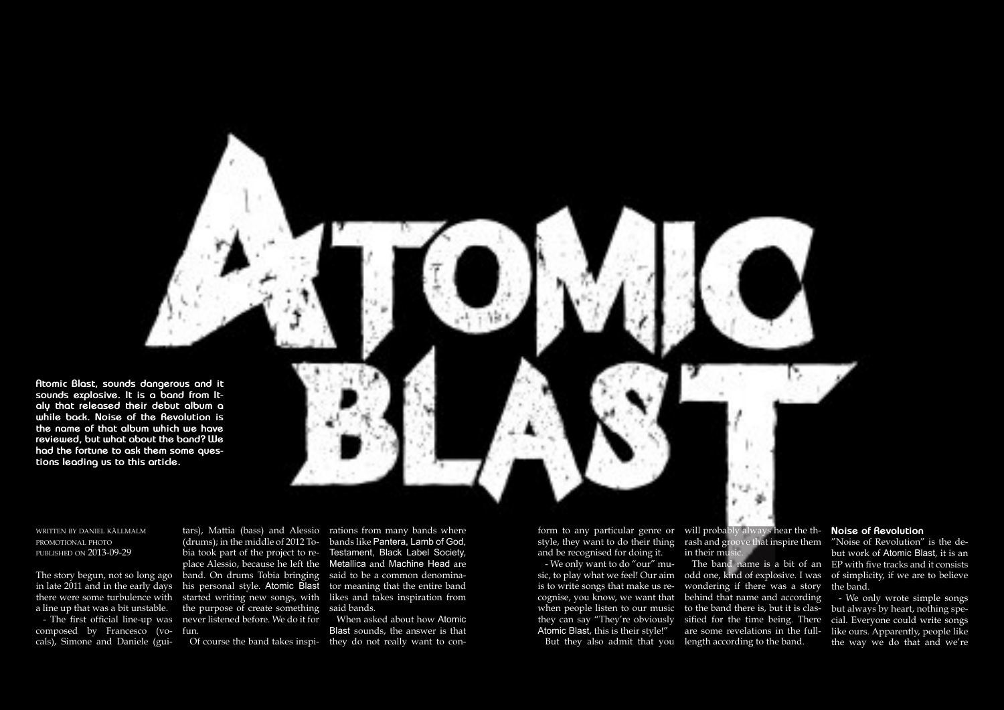**Atomic Blast, sounds dangerous and it sounds explosive. It is a band from Italy that released their debut album a while back. Noise of the Revolution is the name of that album which we have reviewed, but what about the band? We had the fortune to ask them some questions leading us to this article.**

written by daniel källmalm promotional photo published on 2013-09-29

The story begun, not so long ago in late 2011 and in the early days a line up that was a bit unstable. - The first official line-up was composed by Francesco (vocals), Simone and Daniele (gui-

there were some turbulence with started writing new songs, with (drums); in the middle of 2012 Tobia took part of the project to replace Alessio, because he left the band. On drums Tobia bringing his personal style. Atomic Blast the purpose of create something never listened before. We do it for fun.

tars), Mattia (bass) and Alessio rations from many bands where bands like Pantera, Lamb of God, Testament, Black Label Society, Metallica and Machine Head are said to be a common denominator meaning that the entire band likes and takes inspiration from said bands.

Of course the band takes inspi-they do not really want to con-When asked about how Atomic Blast sounds, the answer is that

form to any particular genre or will probably always hear the thstyle, they want to do their thing rash and groove that inspire them TNoise of Revolution" is the deand be recognised for doing it.

- We only want to do "our" music, to play what we feel! Our aim odd one, kind of explosive. I was is to write songs that make us recognise, you know, we want that behind that name and according when people listen to our music to the band there is, but it is clasthey can say "They're obviously Atomic Blast, this is their style!"

in their mus

## **Noise of Revolution**

but work of Atomic Blast, it is an The band name is a bit of an EP with five tracks and it consists of simplicity, if we are to believe the band.

> - We only wrote simple songs but always by heart, nothing special. Everyone could write songs like ours. Apparently, people like the way we do that and we're

But they also admit that you length according to the band.wondering if there was a story sified for the time being. There are some revelations in the full-